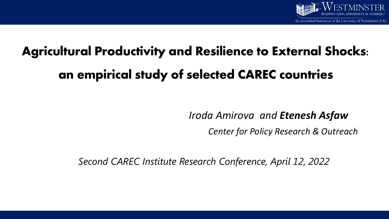

## **Agricultural Productivity and Resilience to External Shocks: an empirical study of selected CAREC countries**

*Iroda Amirova and Etenesh Asfaw*

*Center for Policy Research & Outreach*

*Second CAREC Institute Research Conference, April 12, 2022*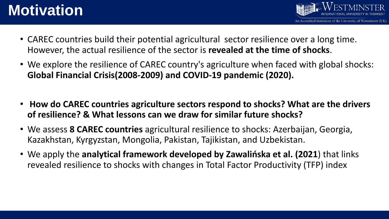### **Motivation**

- CAREC countries build their potential agricultural sector resilience over a long time. However, the actual resilience of the sector is **revealed at the time of shocks**.
- We explore the resilience of CAREC country's agriculture when faced with global shocks: **Global Financial Crisis(2008-2009) and COVID-19 pandemic (2020).**
- **How do CAREC countries agriculture sectors respond to shocks? What are the drivers of resilience? & What lessons can we draw for similar future shocks?**
- We assess **8 CAREC countries** agricultural resilience to shocks: Azerbaijan, Georgia, Kazakhstan, Kyrgyzstan, Mongolia, Pakistan, Tajikistan, and Uzbekistan.
- We apply the **analytical framework developed by Zawalińska et al. (2021**) that links revealed resilience to shocks with changes in Total Factor Productivity (TFP) index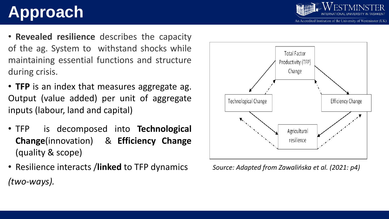# **Approach**

- **Revealed resilience** describes the capacity of the ag. System to withstand shocks while maintaining essential functions and structure during crisis.
- **TFP** is an index that measures aggregate ag. Output (value added) per unit of aggregate inputs (labour, land and capital)
- TFP is decomposed into **Technological Change**(innovation) & **Efficiency Change** (quality & scope)
- Resilience interacts /**linked** to TFP dynamics *(two-ways).*



*Source: Adapted from Zawalińska et al. (2021: p4)*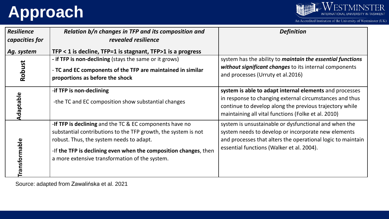# **Approach**



An Accredited Institution of the University of Westminster (UK)

| <b>Resilience</b>    | Relation b/n changes in TFP and its composition and              | <b>Definition</b>                                                 |  |  |
|----------------------|------------------------------------------------------------------|-------------------------------------------------------------------|--|--|
| capacities for       | revealed resilience                                              |                                                                   |  |  |
| Ag. system           | TFP $<$ 1 is decline, TFP=1 is stagnant, TFP $>$ 1 is a progress |                                                                   |  |  |
| Robust               | - if TFP is non-declining (stays the same or it grows)           | system has the ability to <i>maintain the essential functions</i> |  |  |
|                      | - TC and EC components of the TFP are maintained in similar      | without significant changes to its internal components            |  |  |
|                      | proportions as before the shock                                  | and processes (Urruty et al.2016)                                 |  |  |
|                      | -if TFP is non-declining                                         | system is able to adapt internal elements and processes           |  |  |
| Adaptable            |                                                                  | in response to changing external circumstances and thus           |  |  |
|                      | -the TC and EC composition show substantial changes              | continue to develop along the previous trajectory while           |  |  |
|                      |                                                                  | maintaining all vital functions (Folke et al. 2010)               |  |  |
| <b>Transformable</b> | -If TFP is declining and the TC & EC components have no          | system is unsustainable or dysfunctional and when the             |  |  |
|                      | substantial contributions to the TFP growth, the system is not   | system needs to develop or incorporate new elements               |  |  |
|                      | robust. Thus, the system needs to adapt.                         | and processes that alters the operational logic to maintain       |  |  |
|                      | -If the TFP is declining even when the composition changes, then | essential functions (Walker et al. 2004).                         |  |  |
|                      | a more extensive transformation of the system.                   |                                                                   |  |  |
|                      |                                                                  |                                                                   |  |  |
|                      |                                                                  |                                                                   |  |  |

Source: adapted from Zawalińska et al. 2021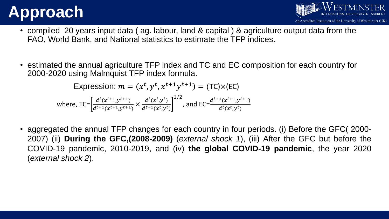## **Approach**



- compiled 20 years input data ( ag. labour, land & capital ) & agriculture output data from the FAO, World Bank, and National statistics to estimate the TFP indices.
- estimated the annual agriculture TFP index and TC and EC composition for each country for 2000-2020 using Malmquist TFP index formula.

Expression:  $m = (x^t, y^t, x^{t+1}y^{t+1}) = (TC) \times (EC)$ where, TC= $\frac{d^t(x^{t+1}, y^{t+1})}{dt^{t+1}(x^{t+1}, y^{t+1})}$  $d^{t+1}(x^{t+1},y^{t+1})$  $\times \frac{d^t(x^t, y^t)}{dt^t(x^t, y^t)}$  $d^{t+1}(x^t, y^t)$ 1/2 , and EC= $\frac{d^{t+1}(x^{t+1},y^{t+1})}{dt(x^t, y^t)}$  $d^t(x^t, y^t)$ 

• aggregated the annual TFP changes for each country in four periods. (i) Before the GFC( 2000- 2007) (ii) **During the GFC,(2008-2009)** (*external shock 1*), (iii) After the GFC but before the COVID-19 pandemic, 2010-2019, and (iv) **the global COVID-19 pandemic**, the year 2020 (*external shock 2*).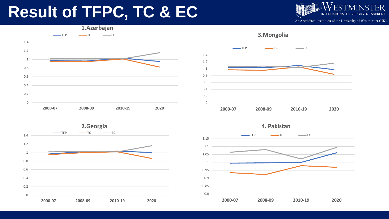### **Result of TFPC, TC & EC**

An Accredited Institution of the University of Westminster (UK)







**4. Pakistan**

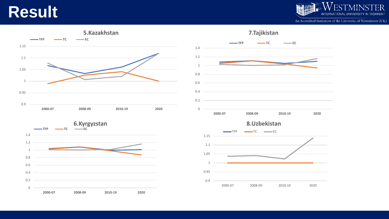### **Result**



An Accredited Institution of the University of Westminster (UK)





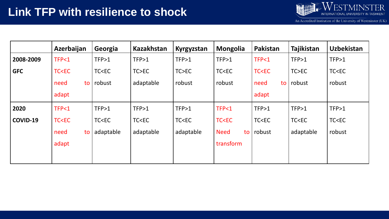

An Accredited Institution of the University of Westminster (UK)

|            | Azerbaijan                                                                                                                                                                                                                     | Georgia                                                                                                                                                                                            | <b>Kazakhstan</b>                                                                                                                                                      | Kyrgyzstan                                                                                                                                 | <b>Mongolia</b>                                                                                     | Pakistan                                                                     | Tajikistan                                       | <b>Uzbekistan</b>    |
|------------|--------------------------------------------------------------------------------------------------------------------------------------------------------------------------------------------------------------------------------|----------------------------------------------------------------------------------------------------------------------------------------------------------------------------------------------------|------------------------------------------------------------------------------------------------------------------------------------------------------------------------|--------------------------------------------------------------------------------------------------------------------------------------------|-----------------------------------------------------------------------------------------------------|------------------------------------------------------------------------------|--------------------------------------------------|----------------------|
| 2008-2009  | TFP<1                                                                                                                                                                                                                          | TFP>1                                                                                                                                                                                              | TFP>1                                                                                                                                                                  | TFP>1                                                                                                                                      | TFP>1                                                                                               | TFP<1                                                                        | TFP>1                                            | TFP>1                |
| <b>GFC</b> | <b>TC<ec< b=""></ec<></b>                                                                                                                                                                                                      | TC <ec< th=""><th>TC&gt;EC</th><th>TC&gt;EC</th><th>TC<ec< th=""><th><b>TC<ec< b=""></ec<></b></th><th>TC&gt;EC</th><th>TC<ec< th=""></ec<></th></ec<></th></ec<>                                  | TC>EC                                                                                                                                                                  | TC>EC                                                                                                                                      | TC <ec< th=""><th><b>TC<ec< b=""></ec<></b></th><th>TC&gt;EC</th><th>TC<ec< th=""></ec<></th></ec<> | <b>TC<ec< b=""></ec<></b>                                                    | TC>EC                                            | TC <ec< th=""></ec<> |
|            | need<br>to                                                                                                                                                                                                                     | robust                                                                                                                                                                                             | adaptable                                                                                                                                                              | robust                                                                                                                                     | robust                                                                                              | need<br>to                                                                   | robust                                           | robust               |
|            | adapt                                                                                                                                                                                                                          |                                                                                                                                                                                                    |                                                                                                                                                                        |                                                                                                                                            |                                                                                                     | adapt                                                                        |                                                  |                      |
| 2020       | TFP<1                                                                                                                                                                                                                          | TFP>1                                                                                                                                                                                              | TFP>1                                                                                                                                                                  | TFP>1                                                                                                                                      | TFP<1                                                                                               | TFP>1                                                                        | TFP>1                                            | TFP>1                |
| COVID-19   | TC <ec< th=""><th>TC<ec< th=""><th>TC<ec< th=""><th>TC<ec< th=""><th><b>TC<ec< b=""></ec<></b></th><th>TC<ec< th=""><th>TC<ec< th=""><th>TC<ec< th=""></ec<></th></ec<></th></ec<></th></ec<></th></ec<></th></ec<></th></ec<> | TC <ec< th=""><th>TC<ec< th=""><th>TC<ec< th=""><th><b>TC<ec< b=""></ec<></b></th><th>TC<ec< th=""><th>TC<ec< th=""><th>TC<ec< th=""></ec<></th></ec<></th></ec<></th></ec<></th></ec<></th></ec<> | TC <ec< th=""><th>TC<ec< th=""><th><b>TC<ec< b=""></ec<></b></th><th>TC<ec< th=""><th>TC<ec< th=""><th>TC<ec< th=""></ec<></th></ec<></th></ec<></th></ec<></th></ec<> | TC <ec< th=""><th><b>TC<ec< b=""></ec<></b></th><th>TC<ec< th=""><th>TC<ec< th=""><th>TC<ec< th=""></ec<></th></ec<></th></ec<></th></ec<> | <b>TC<ec< b=""></ec<></b>                                                                           | TC <ec< th=""><th>TC<ec< th=""><th>TC<ec< th=""></ec<></th></ec<></th></ec<> | TC <ec< th=""><th>TC<ec< th=""></ec<></th></ec<> | TC <ec< th=""></ec<> |
|            | need<br>to                                                                                                                                                                                                                     | adaptable                                                                                                                                                                                          | adaptable                                                                                                                                                              | adaptable                                                                                                                                  | <b>Need</b><br>to                                                                                   | robust                                                                       | adaptable                                        | robust               |
|            | adapt                                                                                                                                                                                                                          |                                                                                                                                                                                                    |                                                                                                                                                                        |                                                                                                                                            | transform                                                                                           |                                                                              |                                                  |                      |
|            |                                                                                                                                                                                                                                |                                                                                                                                                                                                    |                                                                                                                                                                        |                                                                                                                                            |                                                                                                     |                                                                              |                                                  |                      |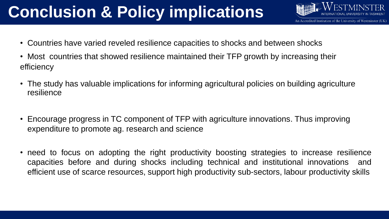# **Conclusion & Policy implications**

- An Accredited Institution of the University of Westminster (UK)
- Countries have varied reveled resilience capacities to shocks and between shocks
- Most countries that showed resilience maintained their TFP growth by increasing their efficiency
- The study has valuable implications for informing agricultural policies on building agriculture resilience
- Encourage progress in TC component of TFP with agriculture innovations. Thus improving expenditure to promote ag. research and science
- need to focus on adopting the right productivity boosting strategies to increase resilience capacities before and during shocks including technical and institutional innovations and efficient use of scarce resources, support high productivity sub-sectors, labour productivity skills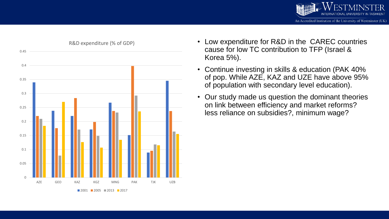



- Low expenditure for R&D in the CAREC countries cause for low TC contribution to TFP (Israel & Korea 5%).
- Continue investing in skills & education (PAK 40% of pop. While AZE, KAZ and UZE have above 95% of population with secondary level education).
- Our study made us question the dominant theories on link between efficiency and market reforms? less reliance on subsidies?, minimum wage?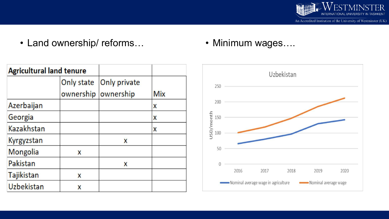

• Land ownership/ reforms…

• Minimum wages….

| <b>Agricultural land tenure</b> |            |              |            |
|---------------------------------|------------|--------------|------------|
|                                 | Only state | Only private |            |
|                                 | ownership  | ownership    | <b>Mix</b> |
| Azerbaijan                      |            |              | X          |
| Georgia                         |            |              | X          |
| Kazakhstan                      |            |              | X          |
| Kyrgyzstan                      |            | X            |            |
| Mongolia                        | X          |              |            |
| Pakistan                        |            | X            |            |
| Tajikistan                      | X          |              |            |
| Uzbekistan                      | X          |              |            |